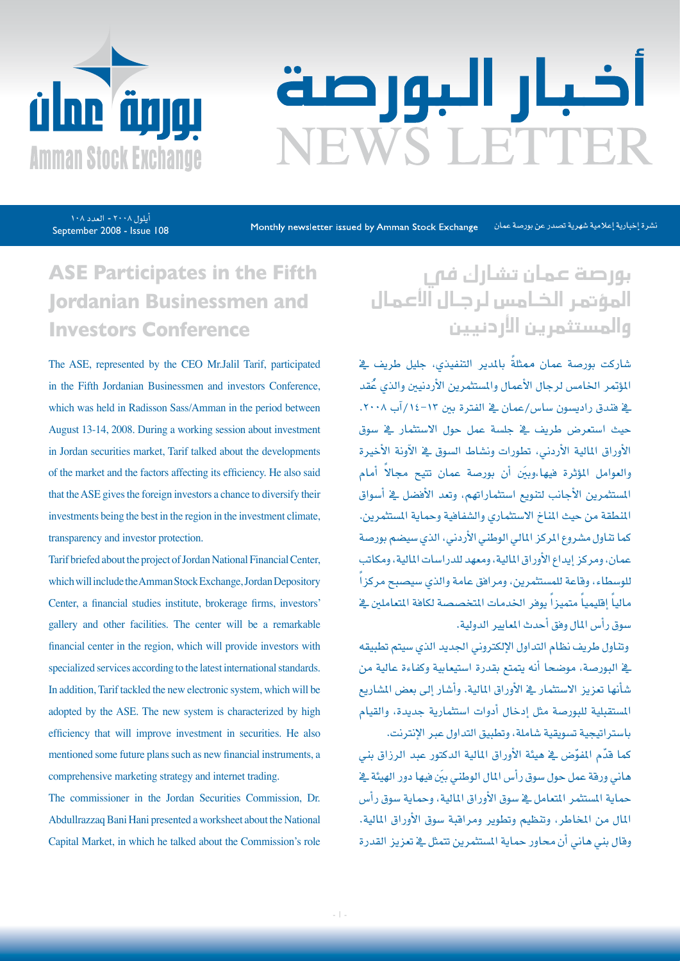

# اخبار البورصة EWS LETTER

September 2008 - Issue 108 يلول ٢٠٠٨ - العدد ١٠٨

Monthly newsletter issued by Amman Stock Exchange نشرة إخبارية إعلامية شهرية تصدر عن بورصة عمان

### **ASE Participates in the Fifth Jordanian Businessmen and Investors Conference**

The ASE, represented by the CEO Mr.Jalil Tarif, participated in the Fifth Jordanian Businessmen and investors Conference, which was held in Radisson Sass/Amman in the period between August 13-14, 2008. During a working session about investment in Jordan securities market, Tarif talked about the developments of the market and the factors affecting its efficiency. He also said that the ASE gives the foreign investors a chance to diversify their investments being the best in the region in the investment climate, transparency and investor protection.

Tarif briefed about the project of Jordan National Financial Center, which will include the Amman Stock Exchange, Jordan Depository Center, a financial studies institute, brokerage firms, investors' gallery and other facilities. The center will be a remarkable financial center in the region, which will provide investors with specialized services according to the latest international standards. In addition, Tarif tackled the new electronic system, which will be adopted by the ASE. The new system is characterized by high efficiency that will improve investment in securities. He also mentioned some future plans such as new financial instruments, a comprehensive marketing strategy and internet trading.

The commissioner in the Jordan Securities Commission, Dr. Abdullrazzaq Bani Hani presented a worksheet about the National Capital Market, in which he talked about the Commission's role

### بورصة عمان تشارك فى المؤتمر الخامس لرجال آلأعمال والمستثمرين الأردنيين

شاركت بورصة عمان ممثلةً بالمدير التنفيذي، جليل طريف ي<sup>ع</sup> المؤتمر الخامس لرجال الأعمال والمستثمرين الأردنيين والذي عُقد يف فندق راديسون ساس/عمان في الفترة بين ١٣-١٤/آب ٢٠٠٨. حيث استعرض طريف ي<sup>ف</sup> جلسة عمل حول الاستثمار ي*ف س*وق الأوراق المالية الأردني، تطورات ونشاط السوق يف الآونة الأخيرة والعوامل المؤثرة فيها،وبِّين أن بورصة عمان تتيح مجالاً أمام امل�ستثمرين الأجانب لتنويع ا�ستثماراتهم، وتعد الأف�ضل يف أ�سواق المنطقة من حيث المناخ الاستثماري والشفافية وحماية المستثمرين. كما تناول مشروع المركز المالي الوطني الأردني، الذي سيضم بورصة عمان، ومركز إيداع الأوراق املالية، ومعهد للدرا�سات املالية، ومكاتب ֧֖֖֖֖֚֚֚֚֚֚֚֚֟֓֕<br>֧֝֩֩֩֩ للو�سطاء، وقاعة للم�ستثمرين، ومرافق عامة والذي �سي�صبح مركزا مالياً إقليمياً متميزاً يوفر الخدمات المتخصصة لكافة المتعاملين <u>ف</u> سوق رأس المال وفق أحدث المعايير الدولية.

وتناول طريف نظام التداول الإلكتروني الجديد الذي سيتم تطبيقه ية البورصة، موضحا أنه يتمتع بقدرة استيعابية وكفاءة عالية من شأنها تعزيز الاستثمار ية الأوراق المالية. وأشار إلى بعض المشاريع امل�ستقبلية للبور�صة مثل إدخال أدوات ا�ستثمارية جديدة، والقيام باستر اتيجية تسويقية شاملة، وتطبيق التداول عبر الإنترنت.

كما قدّم المفوّض ية هيئة الأوراق المالية الدكتور عبد الرزاق بني هاني ورقة عمل حول سوق رأس المال الوطني بيَن فيها دور الهيئة يف حماية المستثمر المتعامل يخ سوق الأوراق المالية، وحماية سوق رأس املال من املخاطر، وتنظيم وتطوير ومراقبة �سوق الأوراق املالية. وقال بني هاني أن محاور حماية المستثمرين تتمثل يف تعزيز القدرة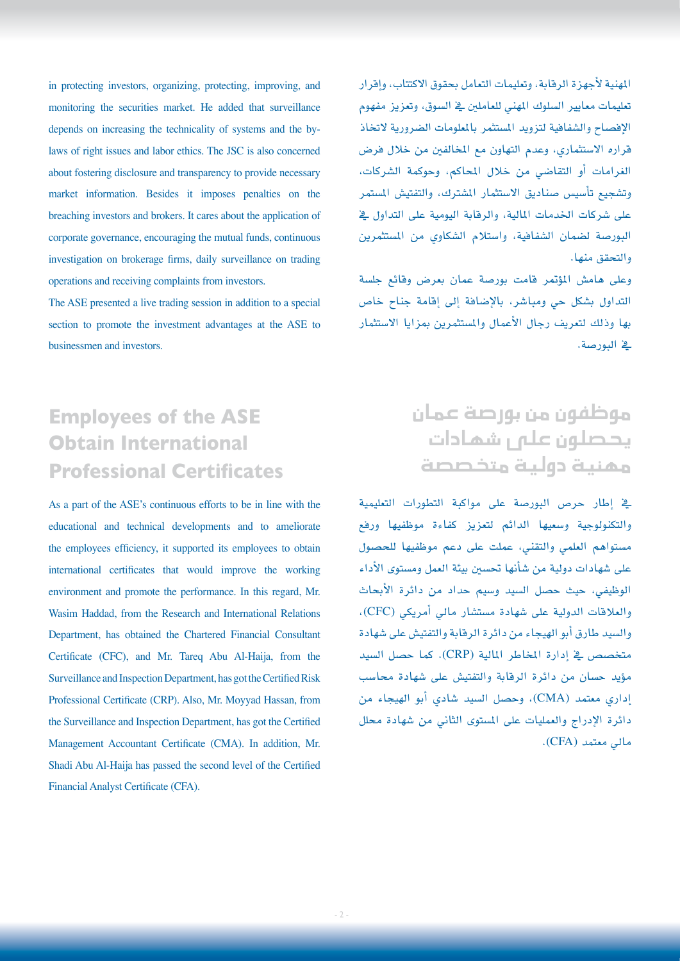in protecting investors, organizing, protecting, improving, and monitoring the securities market. He added that surveillance laws of right issues and labor ethics. The JSC is also concerned depends on increasing the technicality of systems and the byabout fostering disclosure and transparency to provide necessary market information. Besides it imposes penalties on the breaching investors and brokers. It cares about the application of corporate governance, encouraging the mutual funds, continuous investigation on brokerage firms, daily surveillance on trading operations and receiving complaints from investors.

The ASE presented a live trading session in addition to a special section to promote the investment advantages at the ASE to businessmen and investors.

#### املهنية لأجهزة الرقابة، وتعليمات التعامل بحقوق االكتتاب، وإقرار تعليمات معايير السلوك المهني للعاملين يف السوق، وتعزيز مفهوم الإفصاح والشفافية لتزويد المستثمر بالملومات الضرورية لاتخاذ قراره الاستثماري، وعدم التهاون مع المخالفين من خلال فرض الغرامات أو التقا�ضي من خالل املحاكم، وحوكمة ال�شركات، وتشجيع تأسيس صناديق الاستثمار المشترك، والتفتيش المستمر على �شركات اخلدمات املالية، والرقابة اليومية على التداول يف البورصة لضمان الشفافية، واستلام الشكاوي من المستثمرين والتحقق منها.

وعلى هامش المؤتمر قامت بورصة عمان بعرض وقائع جلسة التداول بشكل حي ومباشر، بالإضافة إلى إقامة جناح خاص بها وذلك لتعريف رجال الأعمال وامل�ستثمرين مبزايا اال�ستثمار يف البور�صة.

### **Employees of the ASE Obtain International Professional Certificates**

As a part of the ASE's continuous efforts to be in line with the educational and technical developments and to ameliorate the employees efficiency, it supported its employees to obtain international certificates that would improve the working environment and promote the performance. In this regard, Mr. Wasim Haddad, from the Research and International Relations Department, has obtained the Chartered Financial Consultant Certificate (CFC), and Mr. Tareq Abu Al-Haija, from the Surveillance and Inspection Department, has got the Certified Risk Professional Certificate (CRP). Also, Mr. Moyyad Hassan, from the Surveillance and Inspection Department, has got the Certified Management Accountant Certificate (CMA). In addition, Mr. Shadi Abu Al-Haija has passed the second level of the Certified Financial Analyst Certificate (CFA).

#### موظفون من بور�صة عمان يحصلون على شهادات مهنية دولية متخ�ص�صة

يف إطار حر�ص البور�صة على مواكبة التطورات التعليمية والتكنولوجية و�سعيها الدائم لتعزيز كفاءة موظفيها ورفع م�ستواهم العلمي والتقني، عملت على دعم موظفيها للح�صول على شهادات دولية من شأنها تحسين بيئة العمل ومستوى الأداء الوظيفي، حيث ح�صل ال�سيد و�سيم حداد من دائرة الأبحاث والعالقات الدولية على �شهادة م�ست�شار مايل أمريكي )CFC)، والسيد طارق أبو الهيجاء من دائرة الرقابة والتفتيش على شهادة متخ�ص�ص يف إدارة املخاطر املالية )CRP). كما ح�صل ال�سيد مؤيد حسان من دائرة الرقابة والتفتيش على شهادة محاسب إداري معتمد )CMA)، وح�صل ال�سيد �شادي أبو الهيجاء من دائرة الإدراج والعمليات على المستوى الثاني من شهادة محلل مايل معتمد )CFA).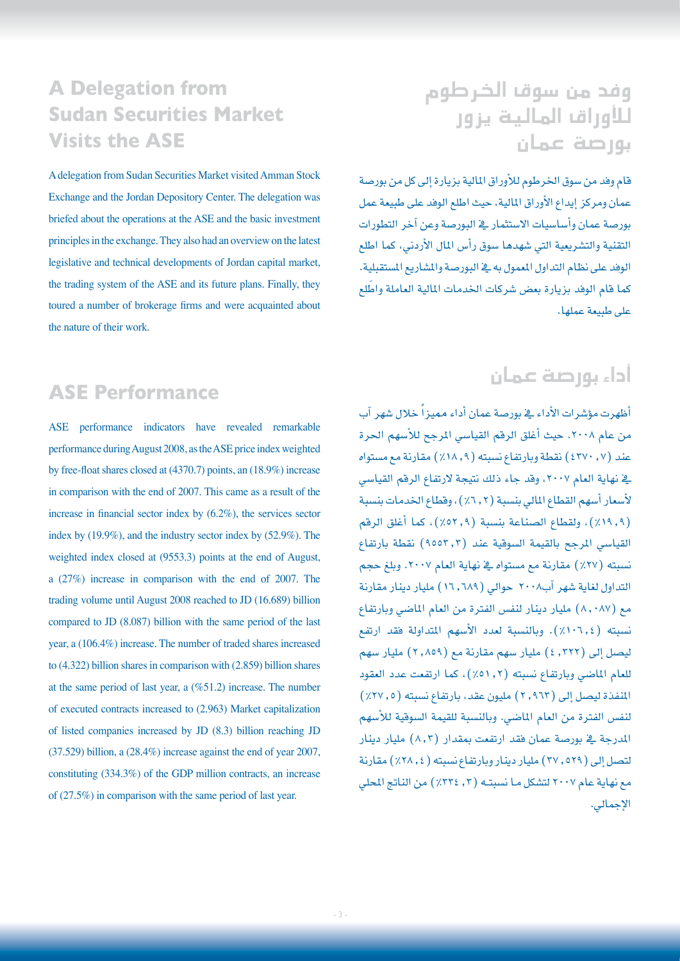#### **A Delegation from Sudan Securities Market Visits the ASE**

A delegation from Sudan Securities Market visited Amman Stock Exchange and the Jordan Depository Center. The delegation was briefed about the operations at the ASE and the basic investment principles in the exchange. They also had an overview on the latest legislative and technical developments of Jordan capital market, the trading system of the ASE and its future plans. Finally, they toured a number of brokerage firms and were acquainted about the nature of their work.

### وفد من سوق الخرطوم للأوراق المالية يزور بور�صة عمان

قام وفد من سوق الخرطوم للأوراق المالية بزيارة إلى كل من بورصة عمان ومركز إيداع الأوراق املالية، حيث اطلع الوفد على طبيعة عمل بورصة عمان وأساسيات الاستثمار ية البورصة وعن آخر التطورات التقنية والت�شريعية التي �شهدها �سوق رأ�س املال الأردين، كما اطلع الوفد على نظام التداول المعمول به ية البورصة والمشاريع المستقبلية. كما قام الوفد بزيارة بعض شركات الخدمات المالية العاملة واطّلع على طبيعة عملها.

#### **ASE Performance**

ASE performance indicators have revealed remarkable performance during August 2008, as the ASE price index weighted by free-float shares closed at  $(4370.7)$  points, an  $(18.9\%)$  increase in comparison with the end of 2007. This came as a result of the increase in financial sector index by  $(6.2\%)$ , the services sector index by  $(19.9\%)$ , and the industry sector index by  $(52.9\%)$ . The weighted index closed at  $(9553.3)$  points at the end of August, a  $(27%)$  increase in comparison with the end of 2007. The trading volume until August 2008 reached to JD (16.689) billion compared to JD  $(8.087)$  billion with the same period of the last year, a  $(106.4\%)$  increase. The number of traded shares increased to  $(4.322)$  billion shares in comparison with  $(2.859)$  billion shares at the same period of last year, a  $(\%51.2)$  increase. The number of executed contracts increased to  $(2.963)$  Market capitalization of listed companies increased by JD  $(8.3)$  billion reaching JD  $(37.529)$  billion, a  $(28.4\%)$  increase against the end of year 2007, constituting  $(334.3\%)$  of the GDP million contracts, an increase of  $(27.5\%)$  in comparison with the same period of last year.

### أداء بور�صة عمان

ظهرت مؤشرات الأداء ـِ فبورصة عمان أداء مميزاً خلال شهر آب من عام ٢٠٠٨. حيث أغلق الرقم القياسي المرجح للأسهم الحرة عند (٤٣٧٠) نقطة وبارتفاع نسبته (١٨,٩٪) مقارنة مع مستواه ية نهاية العام ٢٠٠٧، وقد جاء ذلك نتيجة لارتفاع الرقم القياسي لأسعار أسهم القطاع المالي بنسبة (٢, ٦٪)، وقطاع الخدمات بنسبة )%19.9(، ولقطاع ال�صناعة بن�سبة )%52.9(، كما أغلق الرقم القياسي المرجح بالقيمة السوقية عند (٩٥٥٢٫٢) نقطة بارتفاع نسبته (٢٧٪) مقارنة مع مستواه ية نهاية العام ٢٠٠٧. وبلغ حجم التداول لغاية �شهر آب2008 حوايل )16.689( مليار دينار مقارنة مع (٨,٠٨٧) مليار دينار لنفس الفترة من العام الماضي وبارتفاع نسبته (١٠٦.٤). وبالنسبة لعدد الأسهم المتداولة فقد ارتفع ليصل إلى ( ٢٢٢ , ٤) مليار سهم مقارنة مع ( ٢ ,٨٥٩) مليار سهم للعام الماضي وبارتفاع نسبته (٢, ٥١.٢)، كما ارتفعت عدد العقود الملفذة ليصل إلى ( ٢,٩٦٢ ) مليون عقد، بارتفاع نسبته ( ٢٧,٧٥٪ ) لنفس الفترة من العام الماضي. وبالنسبة للقيمة السوقية للأسهم المدرجة ي<sup>ع</sup> بورصة عمان فقد ارت*فعت* بمقدار (٨,٢) مليار دينار لت�صل إىل )37.529( مليار دينار وبارتفاع ن�سبته )%28.4( مقارنة مع نهاية عام ٢٠٠٧ لتشكل مـا نسبتـه (٢, ٢٢٤٪) من الناتج المحلي الإجمايل.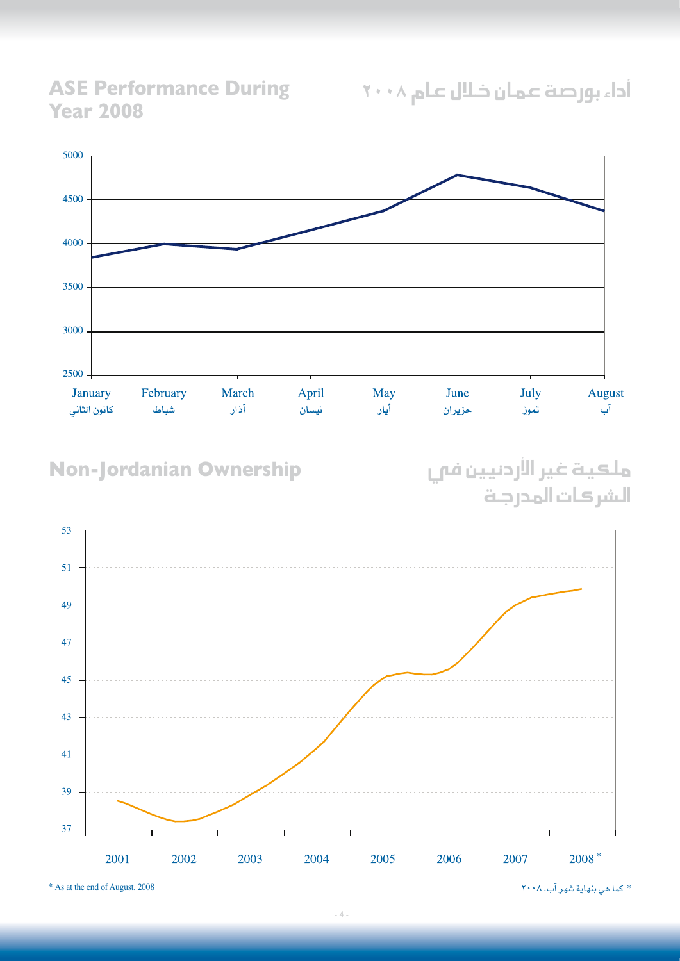**ASE Performance During 2008 Year**



#### **Non-Jordanian Ownership**

ملكية غير الأردنيين في الشركات المدرجة

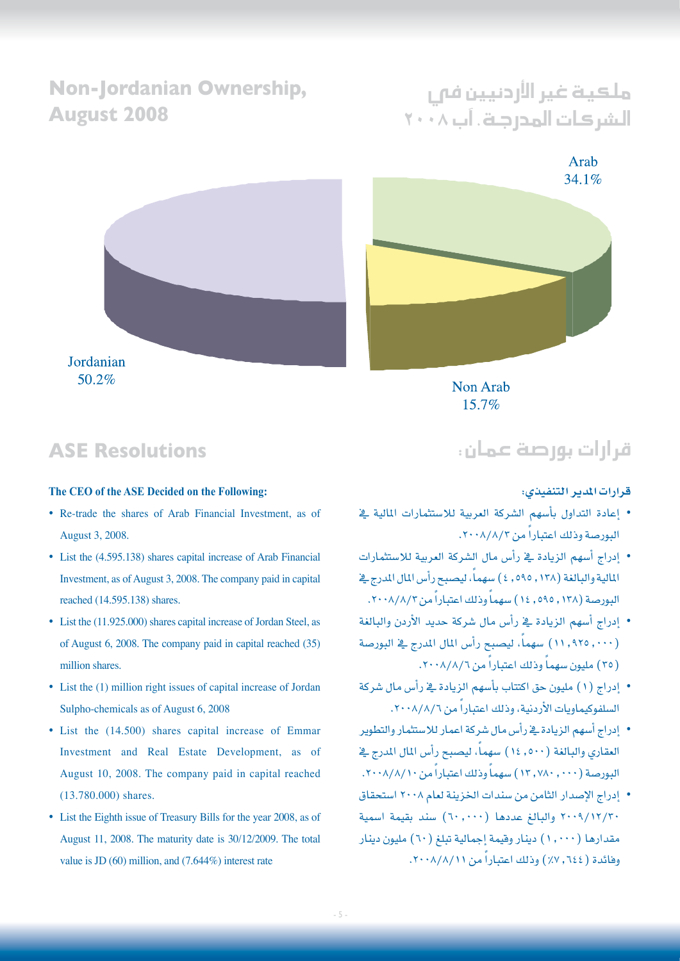#### **Non-lordanian Ownership. 2008 August**

## ملكية غير الأردنيين فى ال�شركات املدرجة، آب 2008

Arab 34.1%



Non Arab 15.7%

**ASE Resolutions** 

Jordanian 50.2%

#### The CEO of the ASE Decided on the Following:

- Re-trade the shares of Arab Financial Investment, as of August 3, 2008.
- List the (4.595.138) shares capital increase of Arab Financial Investment, as of August 3, 2008. The company paid in capital reached (14.595.138) shares.
- List the  $(11.925.000)$  shares capital increase of Jordan Steel, as of August 6,  $2008$ . The company paid in capital reached  $(35)$ million shares.
- List the (1) million right issues of capital increase of Jordan Sulpho-chemicals as of August 6, 2008
- List the (14.500) shares capital increase of Emmar Investment and Real Estate Development, as of August 10, 2008. The company paid in capital reached  $(13.780.000)$  shares.
- List the Eighth issue of Treasury Bills for the year 2008, as of August 11, 2008. The maturity date is 30/12/2009. The total value is JD  $(60)$  million, and  $(7.644\%)$  interest rate

#### قرارات بور�صة عمان:

#### **قرارات املدير التنفيذي:**

- إعادة التداول بأ�سهم ال�شركة العربية لال�ستثمارات املالية يف البورصة وذلك اعتباراً من ٢٠٠٨/٨/٢.
- إدراج أ�سهم الزيادة يف رأ�س مال ال�شركة العربية لال�ستثمارات المالية والبالغة (١٢٨ , ٥٩٥ , ٤ ) سهماً، ليصبح رأس المال المدرج في البورصة (١٢٨, ٥٩٥, ١٤) سهماً وذلك اعتباراً من ٢٠٠٨/٨/٢.
- إدراج أ�سهم الزيادة يف رأ�س مال �شركة حديد الأردن والبالغة (١١,٩٢٥) سهماً، ليصبح رأس المال المدرج في البورصة (٣٥) مليون سهماً وذلك اعتباراً من ٢٠٠٨/٨/٦.
- إدراج (١) مليون حق اكتتاب بأسهم الزيادة <u>ي</u>ة رأس مال شركة السلفوكيماويات الأردنية، وذلك اعتباراً من ٨/٨/٦.
- إدراج أ�سهم الزيادة يف رأ�س مال �شركة اعمار لال�ستثمار والتطوير العقاري والبالغة (٥٠٠. ١٤) سهماً، ليصبح رأس المال المدرج في البورصة (٧٨٠, ٧٨٠, ١٢) سهماً وذلك اعتباراً من ١٠/٨/١٠.
- إدراج الإ�صدار الثامن من �سندات اخلزينة لعام 2008 ا�ستحقاق .<br>٢٠٠٩/١٢/٢٠ والبالغ عددها (٦٠,٠٠٠) سند بقيمة اسمية مقدارها (١,٠٠٠) دينار وقيمة إجمالية تبلغ (٦٠) مليون دينار وفائدة ( ٢٤٤, ٧٪) وذلك اعتباراً من ٢٠٠٨/٨/١١.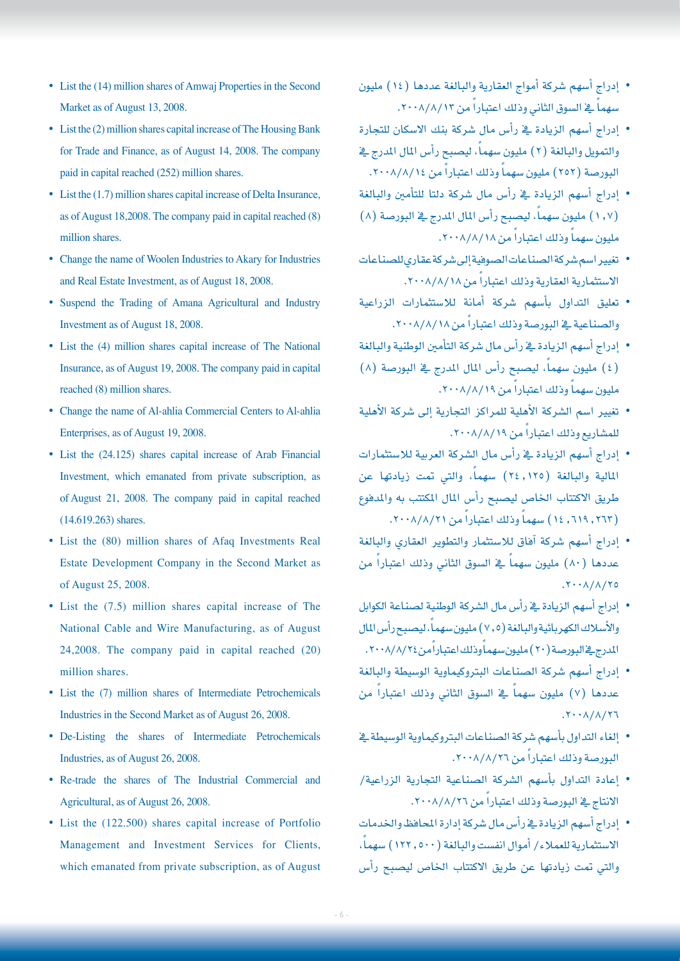- $\bullet$  List the (14) million shares of Amwaj Properties in the Second Market as of August 13, 2008.
- List the (2) million shares capital increase of The Housing Bank for Trade and Finance, as of August 14, 2008. The company paid in capital reached (252) million shares.
- $\bullet$  List the (1.7) million shares capital increase of Delta Insurance, as of August 18,2008. The company paid in capital reached (8) million shares.
- Change the name of Woolen Industries to Akary for Industries and Real Estate Investment, as of August 18, 2008.
- Suspend the Trading of Amana Agricultural and Industry Investment as of August 18, 2008.
- List the (4) million shares capital increase of The National Insurance, as of August 19, 2008. The company paid in capital reached (8) million shares.
- Change the name of Al-ahlia Commercial Centers to Al-ahlia Enterprises, as of August 19, 2008.
- List the (24.125) shares capital increase of Arab Financial Investment, which emanated from private subscription, as of August 21, 2008. The company paid in capital reached  $(14.619.263)$  shares.
- List the (80) million shares of Afaq Investments Real Estate Development Company in the Second Market as of August 25, 2008.
- $\bullet$  List the (7.5) million shares capital increase of The National Cable and Wire Manufacturing, as of August  $24,2008$ . The company paid in capital reached  $(20)$ million shares.
- List the (7) million shares of Intermediate Petrochemicals Industries in the Second Market as of August 26, 2008.
- De-Listing the shares of Intermediate Petrochemicals Industries, as of August 26, 2008.
- Re-trade the shares of The Industrial Commercial and Agricultural, as of August 26, 2008.
- List the (122.500) shares capital increase of Portfolio Management and Investment Services for Clients, which emanated from private subscription, as of August
- إدراج أ�سهم �شركة أمواج العقارية والبالغة عددها )14( مليون سهماً في السوق الثاني وذلك اعتباراً من ١٢/٨/١٢.
- إدراج أ�سهم الزيادة يف رأ�س مال �شركة بنك اال�سكان للتجارة والتمويل والبالغة (٢) مليون سهماً، ليصبح رأس المال المدرج في البورصة (٢٥٢) مليون سهماً وذلك اعتباراً من ١٤/٨/٨/١٤.
- إدراج أ�سهم الزيادة يف رأ�س مال �شركة دلتا للتأمني والبالغة (١,٧) مليون سهماً، ليصبح رأس المال المدرج في البورصة (٨) مليون سهماً وذلك اعتباراً من ١٨/٨/١٨.
- تغيير اسم شركة الصناعات الصوفية إلى شركة عقارى للصناعات الاستثمارية العقارية وذلك اعتباراً من ١٨/٨/١٨.
- تعليق التداول بأ�سهم �شركة أمانة لال�ستثمارات الزراعية والصناعية في البورصة وذلك اعتباراً من ١٨/٨/١٨.
- إدراج أ�سهم الزيادة يف رأ�س مال �شركة التأمني الوطنية والبالغة (٤) مليون سهماً، ليصبح رأس المال المدرج في البورصة (٨) مليون سهماً وذلك اعتباراً من ١٩/٨/١٩.
- تغيير اسم الشركة الأهلية للمراكز التجارية إلى شركة الأهلية للمشاريع وذلك اعتباراً من ٨/٨/١٩.
- إدراج أ�سهم الزيادة يف رأ�س مال ال�شركة العربية لال�ستثمارات المالية والبالغة (٢٤,١٢٥) سهماً، والتي تمت زيادتها عن طريق الاكتتاب الخاص ليصبح رأس المال المكتتب به والمدفوع (٦١٩, ٦١٩, ١٤) سهماً وذلك اعتباراً من ٢٠٠٨/٨/٢١.
- إدراج أ�سهم �شركة آفاق لال�ستثمار والتطوير العقاري والبالغة عددها (٨٠) مليون سهماً في السوق الثاني وذلك اعتباراً من  $.7 \cdot \cdot \Lambda / \Lambda / 70$
- إدراج أ�سهم الزيادة يف رأ�س مال ال�شركة الوطنية ل�صناعة الكوابل والأسلاك الكهربائية والبالغة (٢,٥) مليون سهماً، ليصبح رأس المال المدرج في البورصة (٢٠) مليون سهماً وذلك اعتباراً من٢٠٠٨/٨/٢٠.
- إدراج أسهم شركة الصناعات البتروكيماوية الوسيطة والبالغة عددها (٧) مليون سهماً في السوق الثاني وذلك اعتباراً من  $.7.1/\lambda/77$
- إلغاء التداول بأسهم شركة الصناعات البتروكيماوية الوسيطة يخ البورصة وذلك اعتباراً من ٢٠٠٨/٨/٢٦.
- إعادة التداول بأ�سهم ال�شركة ال�صناعية التجارية الزراعية/ الانتاج يخ البورصة وذلك اعتباراً من ٢٠٠٨/٨/٢٦.
- إدراج أ�سهم الزيادة يف رأ�س مال �شركة إدارة املحافظ واخلدمات الاستثمارية للعملاء/ أموال انفست والبالغة (١٢٢,٥٠٠) سهماً، والتي تمت زيادتها عن طريق الاكتتاب الخاص ليصبح رأس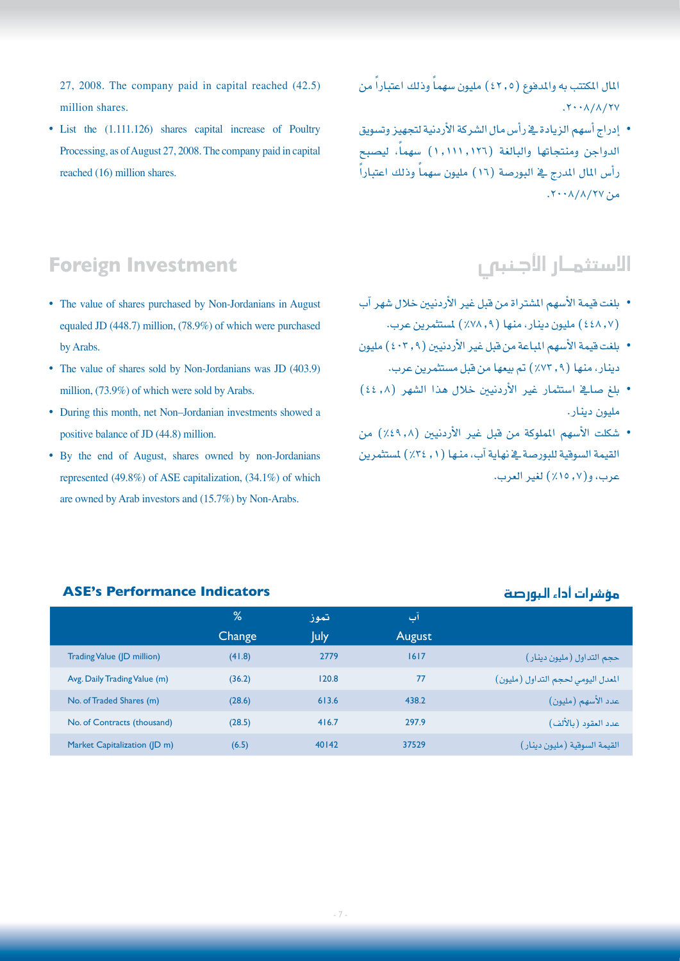27, 2008. The company paid in capital reached  $(42.5)$ million shares.

• List the (1.111.126) shares capital increase of Poultry Processing, as of August 27, 2008. The company paid in capital reached  $(16)$  million shares.

المال المكتتب به والمدفوع (٤٢,٥) مليون سهماً وذلك اعتباراً من  $.7 \cdot \lambda/\lambda/7V$ 

• إدراج أ�سهم الزيادة يف رأ�س مال ال�شركة الأردنية لتجهيز وت�سويق الدواجن ومنتجاتها والبالغة (١٠١٦,١٢٦) سهماً، ليصبح ً رأس المال المدرج في البورصة (١٦) مليون سهماً وذلك اعتباراً  $\lambda$ من ٢٧/٨/٢٧.

#### **Foreign Investment**

- The value of shares purchased by Non-Jordanians in August equaled JD  $(448.7)$  million,  $(78.9%)$  of which were purchased by Arabs.
- The value of shares sold by Non-Jordanians was JD (403.9) million, (73.9%) of which were sold by Arabs.
- During this month, net Non-Jordanian investments showed a positive balance of JD  $(44.8)$  million.
- By the end of August, shares owned by non-Jordanians represented  $(49.8\%)$  of ASE capitalization.  $(34.1\%)$  of which are owned by Arab investors and  $(15.7%)$  by Non-Arabs.

### الاستثمـار الأجنبي ر

- بلغت قيمة الأسهم المشتراة من قبل غير الأردنيين خلال شهر آب )448.7( مليون دينار، منها )%78.9( مل�ستثمرين عرب.
- بلغت قيمة الأسهم المباعة من قبل غير الأردنيين (٤٠٢٫٩) مليون دينار، منها (٩, ٧٢٪) تم بيعها من قبل مستثمرين عرب.
- بلغ �صايف ا�ستثمار غري الأردنيني خالل هذا ال�شهر )44.8( مليون دينار.
- �شكلت الأ�سهم اململوكة من قبل غري الأردنيني )%49.8( من القيمة السوقية للبورصة ية نهاية آب، منـها (١, ٣٤٪) لمستثمرين عرب، و)%15.7( لغري العرب.

|                              | %      | تموز  | آب     |                                    |
|------------------------------|--------|-------|--------|------------------------------------|
|                              | Change | July  | August |                                    |
| Trading Value (JD million)   | (41.8) | 2779  | 1617   | حجم التداول (مليون دينار)          |
| Avg. Daily Trading Value (m) | (36.2) | 120.8 | 77     | المعدل اليومي لحجم التداول (مليون) |
| No. of Traded Shares (m)     | (28.6) | 613.6 | 438.2  | عدد الأسهم (مليون)                 |
| No. of Contracts (thousand)  | (28.5) | 416.7 | 297.9  | عدد العقود (بالألف)                |
| Market Capitalization (JD m) | (6.5)  | 40142 | 37529  | القيمة السوقية (مليون دينار)       |

#### م ؤ�شرات أداء البور�صة **Indicators Performance s'ASE**